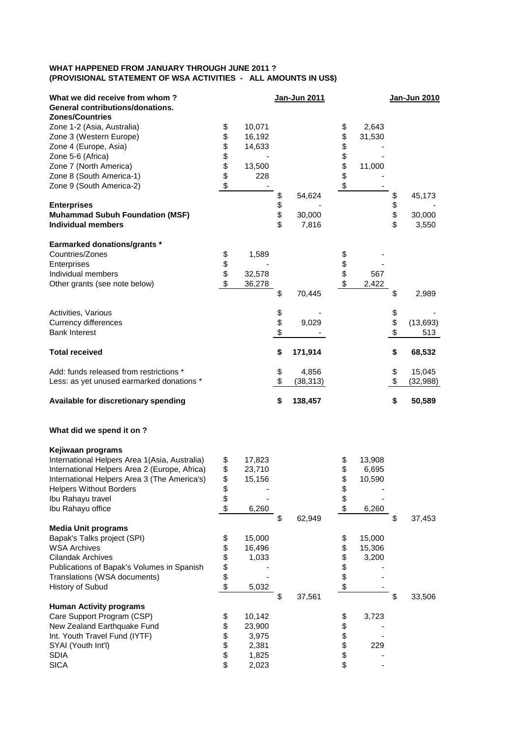## **WHAT HAPPENED FROM JANUARY THROUGH JUNE 2011 ? (PROVISIONAL STATEMENT OF WSA ACTIVITIES - ALL AMOUNTS IN US\$)**

| What we did receive from whom?<br>General contributions/donations.<br><b>Zones/Countries</b>                                                                                                                                                    |                                  |                                                      |                      | Jan-Jun 2011              |                            |                                    |                      | Jan-Jun 2010              |
|-------------------------------------------------------------------------------------------------------------------------------------------------------------------------------------------------------------------------------------------------|----------------------------------|------------------------------------------------------|----------------------|---------------------------|----------------------------|------------------------------------|----------------------|---------------------------|
| Zone 1-2 (Asia, Australia)<br>Zone 3 (Western Europe)<br>Zone 4 (Europe, Asia)<br>Zone 5-6 (Africa)<br>Zone 7 (North America)<br>Zone 8 (South America-1)<br>Zone 9 (South America-2)                                                           | \$<br>\$<br>\$<br>\$<br>\$<br>\$ | 10,071<br>16,192<br>14,633<br>13,500<br>228          |                      |                           | \$<br>\$\$\$\$\$<br>\$     | 2,643<br>31,530<br>11,000          |                      |                           |
| <b>Enterprises</b><br><b>Muhammad Subuh Foundation (MSF)</b><br><b>Individual members</b>                                                                                                                                                       |                                  |                                                      | \$<br>\$<br>\$<br>\$ | 54,624<br>30,000<br>7,816 |                            |                                    | \$<br>\$<br>\$<br>\$ | 45,173<br>30,000<br>3,550 |
| <b>Earmarked donations/grants *</b><br>Countries/Zones<br>Enterprises<br>Individual members<br>Other grants (see note below)                                                                                                                    | \$<br>\$<br>\$<br>\$             | 1,589<br>32,578<br>36,278                            | \$                   | 70,445                    | \$<br>\$\$                 | 567<br>2,422                       | \$                   | 2,989                     |
| Activities, Various<br><b>Currency differences</b><br><b>Bank Interest</b>                                                                                                                                                                      |                                  |                                                      | \$<br>\$             | 9,029                     |                            |                                    | \$<br>\$<br>\$       | (13, 693)<br>513          |
| <b>Total received</b>                                                                                                                                                                                                                           |                                  |                                                      | \$                   | 171,914                   |                            |                                    | \$                   | 68,532                    |
| Add: funds released from restrictions *<br>Less: as yet unused earmarked donations *                                                                                                                                                            |                                  |                                                      | \$<br>\$             | 4,856<br>(38, 313)        |                            |                                    | \$<br>\$             | 15,045<br>(32, 988)       |
| Available for discretionary spending                                                                                                                                                                                                            |                                  |                                                      | \$                   | 138,457                   |                            |                                    | \$                   | 50,589                    |
| What did we spend it on ?                                                                                                                                                                                                                       |                                  |                                                      |                      |                           |                            |                                    |                      |                           |
| Kejiwaan programs<br>International Helpers Area 1(Asia, Australia)<br>International Helpers Area 2 (Europe, Africa)<br>International Helpers Area 3 (The America's)<br><b>Helpers Without Borders</b><br>Ibu Rahayu travel<br>Ibu Rahayu office | \$<br>\$<br>\$<br>\$<br>\$       | 17,823<br>23,710<br>15,156<br>6,260                  | \$                   | 62,949                    | \$<br>\$<br>\$<br>\$<br>\$ | 13,908<br>6,695<br>10,590<br>6,260 | \$                   | 37,453                    |
| <b>Media Unit programs</b><br>Bapak's Talks project (SPI)<br><b>WSA Archives</b><br><b>Cilandak Archives</b><br>Publications of Bapak's Volumes in Spanish<br>Translations (WSA documents)<br>History of Subud                                  | \$<br>\$<br>\$<br>\$<br>\$<br>\$ | 15,000<br>16,496<br>1,033<br>5,032                   |                      |                           | \$<br><b>88888</b>         | 15,000<br>15,306<br>3,200          |                      |                           |
| <b>Human Activity programs</b><br>Care Support Program (CSP)<br>New Zealand Earthquake Fund<br>Int. Youth Travel Fund (IYTF)<br>SYAI (Youth Int'l)<br><b>SDIA</b><br><b>SICA</b>                                                                | \$<br>\$<br>\$<br>\$<br>\$<br>\$ | 10,142<br>23,900<br>3,975<br>2,381<br>1,825<br>2,023 | \$                   | 37,561                    | \$<br>\$\$\$<br>\$         | 3,723<br>229                       | \$                   | 33,506                    |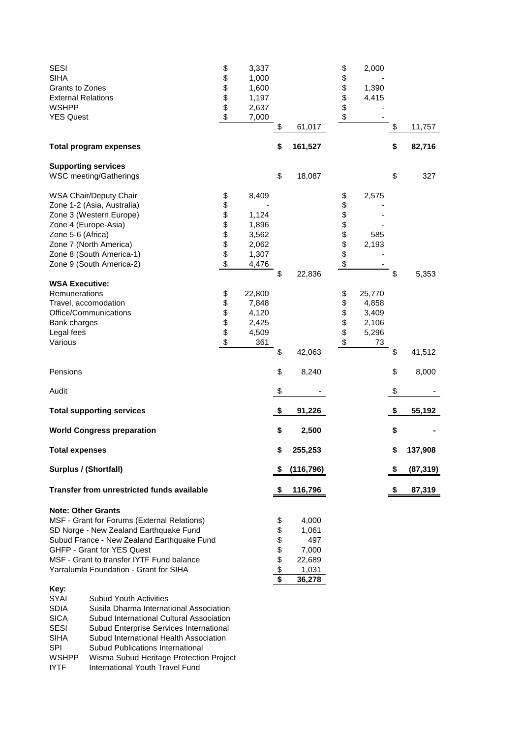| <b>SESI</b><br><b>SIHA</b><br>Grants to Zones<br><b>External Relations</b><br><b>WSHPP</b><br><b>YES Quest</b>                                                                                                                                                                                                                                                                                                                                                                                                                                                                 | \$<br>\$\$\$\$\$                      | 3,337<br>1,000<br>1,600<br>1,197<br>2,637<br>7,000          |                                                                                     |                                                             | \$<br>\$<br>\$\$\$         | 2,000<br>1,390<br>4,415                          |    |           |
|--------------------------------------------------------------------------------------------------------------------------------------------------------------------------------------------------------------------------------------------------------------------------------------------------------------------------------------------------------------------------------------------------------------------------------------------------------------------------------------------------------------------------------------------------------------------------------|---------------------------------------|-------------------------------------------------------------|-------------------------------------------------------------------------------------|-------------------------------------------------------------|----------------------------|--------------------------------------------------|----|-----------|
|                                                                                                                                                                                                                                                                                                                                                                                                                                                                                                                                                                                |                                       |                                                             | \$                                                                                  | 61,017                                                      |                            |                                                  | \$ | 11,757    |
| <b>Total program expenses</b>                                                                                                                                                                                                                                                                                                                                                                                                                                                                                                                                                  |                                       |                                                             | \$                                                                                  | 161,527                                                     |                            |                                                  | \$ | 82,716    |
| <b>Supporting services</b><br><b>WSC meeting/Gatherings</b>                                                                                                                                                                                                                                                                                                                                                                                                                                                                                                                    |                                       |                                                             | \$                                                                                  | 18,087                                                      |                            |                                                  | \$ | 327       |
| WSA Chair/Deputy Chair<br>Zone 1-2 (Asia, Australia)<br>Zone 3 (Western Europe)<br>Zone 4 (Europe-Asia)<br>Zone 5-6 (Africa)<br>Zone 7 (North America)<br>Zone 8 (South America-1)<br>Zone 9 (South America-2)                                                                                                                                                                                                                                                                                                                                                                 | \$<br>\$<br>\$\$\$\$\$<br>\$          | 8,409<br>1,124<br>1,896<br>3,562<br>2,062<br>1,307<br>4,476 |                                                                                     |                                                             | \$<br>\$\$\$\$\$\$\$<br>\$ | 2,575<br>585<br>2,193                            |    |           |
| <b>WSA Executive:</b><br>Remunerations<br>Travel, accomodation<br>Office/Communications<br>Bank charges<br>Legal fees<br>Various                                                                                                                                                                                                                                                                                                                                                                                                                                               | \$<br>\$<br>\$\$<br>$\boldsymbol{\$}$ | 22,800<br>7,848<br>4,120<br>2,425<br>4,509<br>361           | \$                                                                                  | 22,836                                                      | \$<br>\$<br>\$\$<br>\$     | 25,770<br>4,858<br>3,409<br>2,106<br>5,296<br>73 | \$ | 5,353     |
|                                                                                                                                                                                                                                                                                                                                                                                                                                                                                                                                                                                |                                       |                                                             | \$                                                                                  | 42,063                                                      |                            |                                                  | \$ | 41,512    |
| Pensions                                                                                                                                                                                                                                                                                                                                                                                                                                                                                                                                                                       |                                       |                                                             | \$                                                                                  | 8,240                                                       |                            |                                                  | \$ | 8,000     |
| Audit                                                                                                                                                                                                                                                                                                                                                                                                                                                                                                                                                                          |                                       |                                                             | \$                                                                                  |                                                             |                            |                                                  | \$ |           |
| <b>Total supporting services</b>                                                                                                                                                                                                                                                                                                                                                                                                                                                                                                                                               |                                       |                                                             | \$                                                                                  | 91,226                                                      |                            |                                                  | \$ | 55,192    |
| <b>World Congress preparation</b>                                                                                                                                                                                                                                                                                                                                                                                                                                                                                                                                              |                                       |                                                             | \$                                                                                  | 2,500                                                       |                            |                                                  | \$ |           |
| <b>Total expenses</b>                                                                                                                                                                                                                                                                                                                                                                                                                                                                                                                                                          |                                       |                                                             | \$                                                                                  | 255,253                                                     |                            |                                                  | \$ | 137,908   |
| <b>Surplus / (Shortfall)</b>                                                                                                                                                                                                                                                                                                                                                                                                                                                                                                                                                   |                                       |                                                             |                                                                                     | (116, 796)                                                  |                            |                                                  | S  | (87, 319) |
| <b>Transfer from unrestricted funds available</b>                                                                                                                                                                                                                                                                                                                                                                                                                                                                                                                              |                                       |                                                             | S                                                                                   | 116,796                                                     |                            |                                                  | S  | 87,319    |
| <b>Note: Other Grants</b><br>MSF - Grant for Forums (External Relations)<br>SD Norge - New Zealand Earthquake Fund<br>Subud France - New Zealand Earthquake Fund<br>GHFP - Grant for YES Quest<br>MSF - Grant to transfer IYTF Fund balance<br>Yarralumla Foundation - Grant for SIHA<br>Key:<br>SYAI<br><b>Subud Youth Activities</b><br><b>SDIA</b><br>Susila Dharma International Association<br><b>SICA</b><br>Subud International Cultural Association<br><b>SESI</b><br>Subud Enterprise Services International<br><b>SIHA</b><br>Subud International Health Association |                                       |                                                             | \$<br>\$<br>\$<br>\$<br>\$<br>$\frac{1}{2}$<br>$\overline{\boldsymbol{\mathsf{s}}}$ | 4,000<br>1,061<br>497<br>7,000<br>22,689<br>1,031<br>36,278 |                            |                                                  |    |           |

WSHPP Wisma Subud Heritage Protection Project<br>IYTF International Youth Travel Fund International Youth Travel Fund